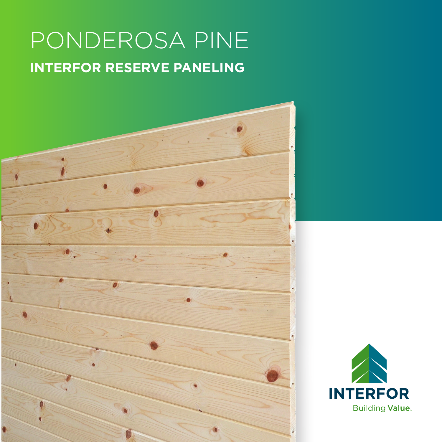# PONDEROSA PINE **INTERFOR RESERVE PANELING**